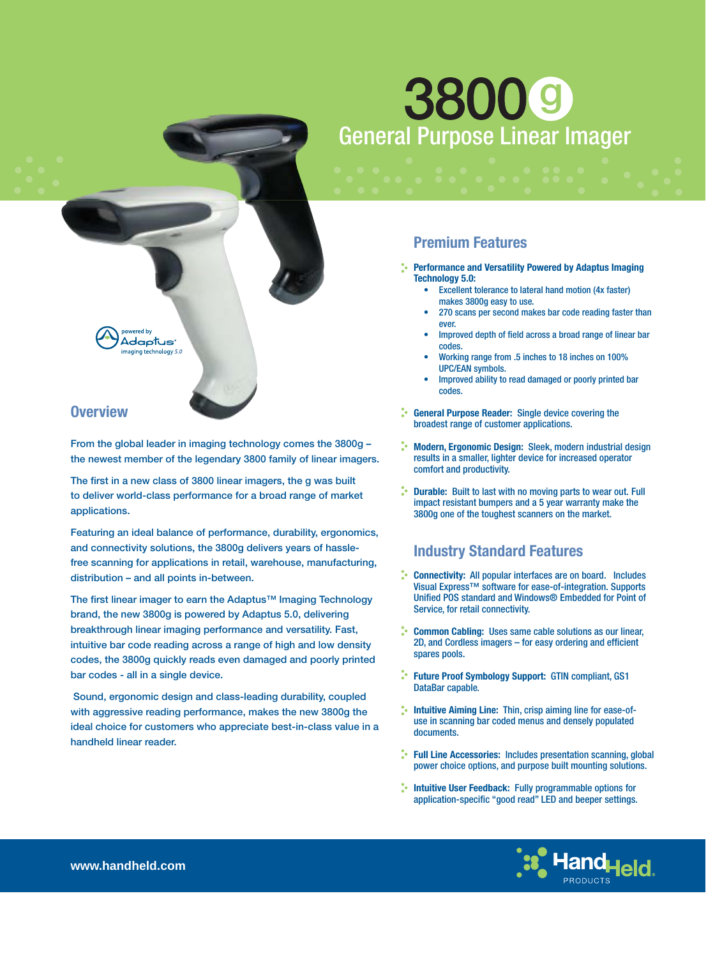# **3800 g** General Purpose Linear Imager

### **Premium Features**

**Performance and Versatility Powered by Adaptus Imaging Technology 5.0:** 

- Excellent tolerance to lateral hand motion (4x faster) makes 3800g easy to use. •
- 270 scans per second makes bar code reading faster than ever. •
- Improved depth of field across a broad range of linear bar codes. •
- Working range from .5 inches to 18 inches on 100% UPC/EAN symbols. •
- Improved ability to read damaged or poorly printed bar codes. •
- **Confidenceral Purpose Reader:** Single device covering the broadest range of customer applications.
- **Modern, Ergonomic Design:** Sleek, modern industrial design results in a smaller, lighter device for increased operator comfort and productivity.
- **Durable:** Built to last with no moving parts to wear out. Full impact resistant bumpers and a 5 year warranty make the 3800g one of the toughest scanners on the market.

## **Industry Standard Features**

- **Connectivity:** All popular interfaces are on board. Includes Visual Express™ software for ease-of-integration. Supports Unified POS standard and Windows® Embedded for Point of Service, for retail connectivity.
- **Common Cabling:** Uses same cable solutions as our linear, 2D, and Cordless imagers - for easy ordering and efficient spares pools.
- **Future Proof Symbology Support:** GTIN compliant, GS1 DataBar capable.
- **Intuitive Aiming Line:** Thin, crisp aiming line for ease-ofuse in scanning bar coded menus and densely populated documents.
- **Full Line Accessories:** Includes presentation scanning, global power choice options, and purpose built mounting solutions.
- **Intuitive User Feedback:** Fully programmable options for application-specific "good read" LED and beeper settings.



ered by Adaptus aaina technoloav 5.0

### **Overview**

**From the global leader in imaging technology comes the 3800g – the newest member of the legendary 3800 family of linear imagers.**

The first in a new class of 3800 linear imagers, the g was built **to deliver world-class performance for a broad range of market applications.**

**Featuring an ideal balance of performance, durability, ergonomics, and connectivity solutions, the 3800g delivers years of hasslefree scanning for applications in retail, warehouse, manufacturing, distribution – and all points in-between.** 

The first linear imager to earn the Adaptus<sup>™</sup> Imaging Technology **brand, the new 3800g is powered by Adaptus 5.0, delivering breakthrough linear imaging performance and versatility. Fast, intuitive bar code reading across a range of high and low density codes, the 3800g quickly reads even damaged and poorly printed bar codes - all in a single device.**

 **Sound, ergonomic design and class-leading durability, coupled with aggressive reading performance, makes the new 3800g the ideal choice for customers who appreciate best-in-class value in a handheld linear reader.**